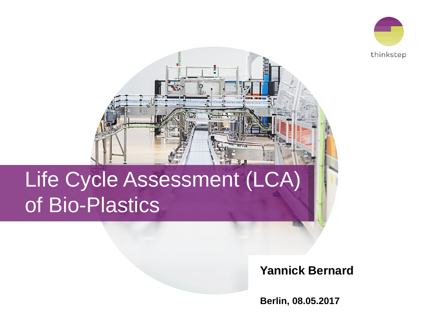



# Life Cycle Assessment (LCA) of Bio-Plastics

### **Yannick Bernard**

**Berlin, 08.05.2017**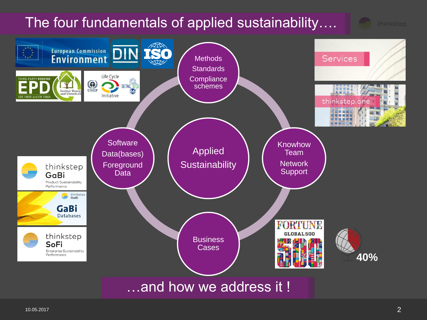# The four fundamentals of applied sustainability….



10.05.2017  $\sim$  2007  $\sim$  2008  $\sim$  2008  $\sim$  2008  $\sim$  2008  $\sim$  2008  $\sim$  2008  $\sim$  2008  $\sim$  2008  $\sim$  2008  $\sim$  2008  $\sim$  2008  $\sim$  2008  $\sim$  2008  $\sim$  2008  $\sim$  2008  $\sim$  2008  $\sim$  2008  $\sim$  2008  $\sim$  2008  $\sim$  2008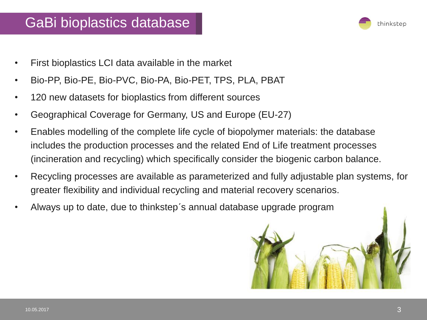### GaBi bioplastics database



- First bioplastics LCI data available in the market
- Bio-PP, Bio-PE, Bio-PVC, Bio-PA, Bio-PET, TPS, PLA, PBAT
- 120 new datasets for bioplastics from different sources
- Geographical Coverage for Germany, US and Europe (EU-27)
- Enables modelling of the complete life cycle of biopolymer materials: the database includes the production processes and the related End of Life treatment processes (incineration and recycling) which specifically consider the biogenic carbon balance.
- Recycling processes are available as parameterized and fully adjustable plan systems, for greater flexibility and individual recycling and material recovery scenarios.
- Always up to date, due to thinkstep´s annual database upgrade program

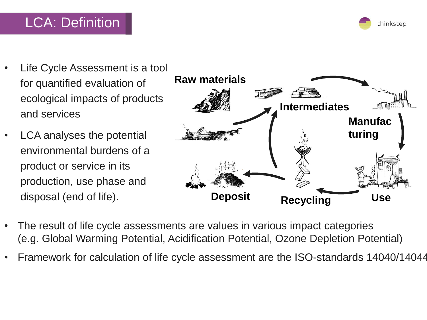## LCA: Definition

- Life Cycle Assessment is a tool for quantified evaluation of ecological impacts of products and services
- LCA analyses the potential environmental burdens of a product or service in its production, use phase and disposal (end of life).



- The result of life cycle assessments are values in various impact categories (e.g. Global Warming Potential, Acidification Potential, Ozone Depletion Potential)
- Framework for calculation of life cycle assessment are the ISO-standards 14040/14044

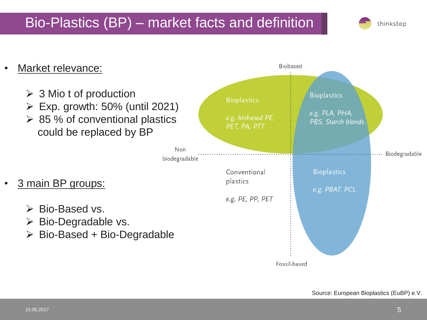## Bio-Plastics (BP) – market facts and definition



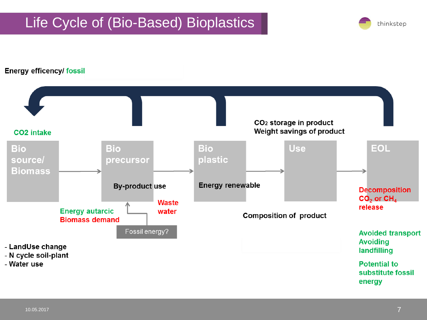## Life Cycle of (Bio-Based) Bioplastics



#### **Energy efficency/ fossil**

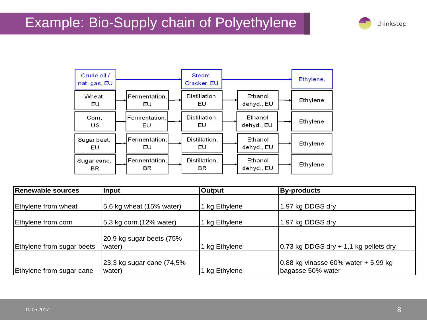## Example: Bio-Supply chain of Polyethylene





| Renewable sources         | <b>Input</b>              | Output        | <b>By-products</b>                      |
|---------------------------|---------------------------|---------------|-----------------------------------------|
|                           |                           |               |                                         |
| Ethylene from wheat       | 5,6 kg wheat (15% water)  | 1 kg Ethylene | 1,97 kg DDGS dry                        |
|                           |                           |               |                                         |
| Ethylene from corn        | 5,3 kg corn (12% water)   | 1 kg Ethylene | 1,97 kg DDGS dry                        |
|                           |                           |               |                                         |
|                           | 20,9 kg sugar beets (75%  |               |                                         |
| Ethylene from sugar beets | water)                    | 1 kg Ethylene | $0,73$ kg DDGS dry + 1,1 kg pellets dry |
|                           |                           |               |                                         |
|                           | 23,3 kg sugar cane (74,5% |               | $0,88$ kg vinasse 60% water + 5,99 kg   |
| Ethylene from sugar cane  | water)                    | 1 kg Ethylene | bagasse 50% water                       |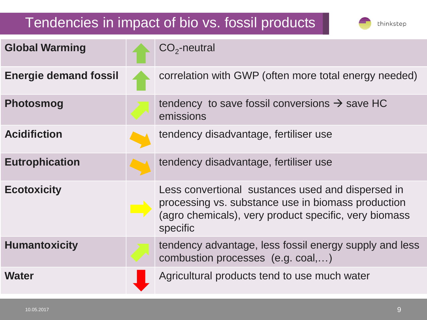## Tendencies in impact of bio vs. fossil products

| <b>Global Warming</b>        | $CO2$ -neutral                                                                                                                                                               |
|------------------------------|------------------------------------------------------------------------------------------------------------------------------------------------------------------------------|
| <b>Energie demand fossil</b> | correlation with GWP (often more total energy needed)                                                                                                                        |
| <b>Photosmog</b>             | tendency to save fossil conversions $\rightarrow$ save HC<br>emissions                                                                                                       |
| <b>Acidifiction</b>          | tendency disadvantage, fertiliser use                                                                                                                                        |
| <b>Eutrophication</b>        | tendency disadvantage, fertiliser use                                                                                                                                        |
| <b>Ecotoxicity</b>           | Less convertional sustances used and dispersed in<br>processing vs. substance use in biomass production<br>(agro chemicals), very product specific, very biomass<br>specific |
| <b>Humantoxicity</b>         | tendency advantage, less fossil energy supply and less<br>combustion processes (e.g. coal,)                                                                                  |
| <b>Water</b>                 | Agricultural products tend to use much water                                                                                                                                 |

thinkstep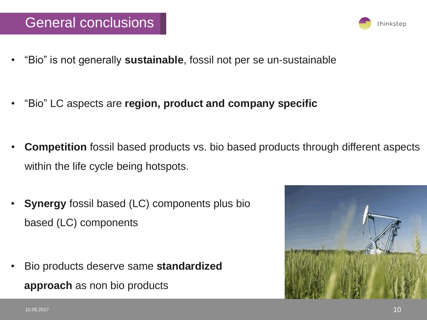### General conclusions

- "Bio" is not generally **sustainable**, fossil not per se un-sustainable
- "Bio" LC aspects are **region, product and company specific**
- **Competition** fossil based products vs. bio based products through different aspects within the life cycle being hotspots.
- **Synergy** fossil based (LC) components plus bio based (LC) components
- Bio products deserve same **standardized approach** as non bio products



thinkstep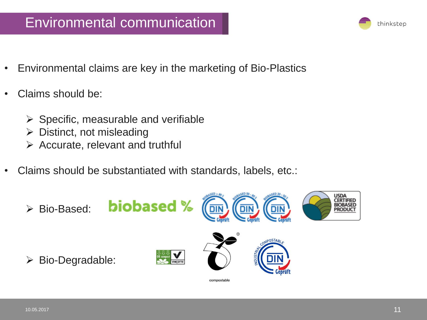### Environmental communication

- Environmental claims are key in the marketing of Bio-Plastics
- Claims should be:
	- $\triangleright$  Specific, measurable and verifiable
	- ➢ Distinct, not misleading
	- $\triangleright$  Accurate, relevant and truthful
- Claims should be substantiated with standards, labels, etc.: